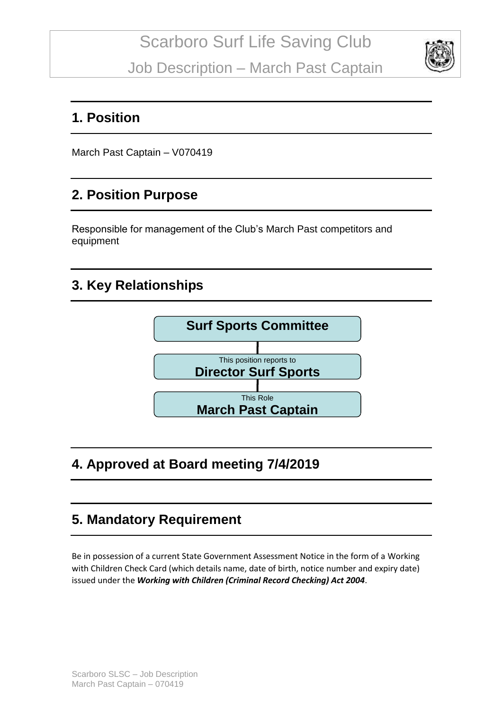

#### **1. Position**

March Past Captain – V070419

#### **2. Position Purpose**

Responsible for management of the Club's March Past competitors and equipment

### **3. Key Relationships**



## **4. Approved at Board meeting 7/4/2019**

#### **5. Mandatory Requirement**

Be in possession of a current State Government Assessment Notice in the form of a Working with Children Check Card (which details name, date of birth, notice number and expiry date) issued under the *Working with Children (Criminal Record Checking) Act 2004*.